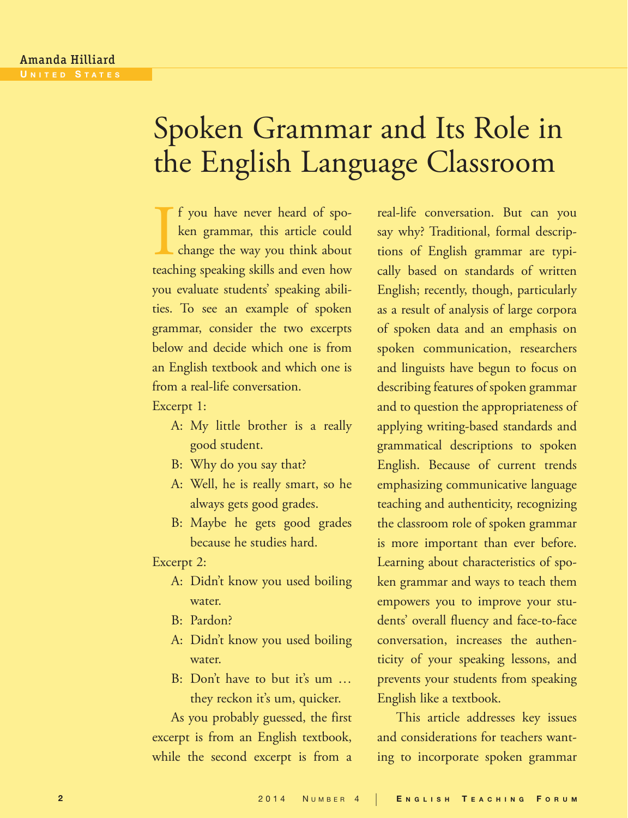# Spoken Grammar and Its Role in the English Language Classroom

If you have never heard of spoken grammar, this article could change the way you think about teaching speaking skills and even how f you have never heard of spoken grammar, this article could change the way you think about you evaluate students' speaking abilities. To see an example of spoken grammar, consider the two excerpts below and decide which one is from an English textbook and which one is from a real-life conversation.

Excerpt 1:

- A: My little brother is a really good student.
- B: Why do you say that?
- A: Well, he is really smart, so he always gets good grades.
- B: Maybe he gets good grades because he studies hard.

Excerpt 2:

- A: Didn't know you used boiling water.
- B: Pardon?
- A: Didn't know you used boiling water.
- B: Don't have to but it's um … they reckon it's um, quicker.

As you probably guessed, the first excerpt is from an English textbook, while the second excerpt is from a

real-life conversation. But can you say why? Traditional, formal descriptions of English grammar are typically based on standards of written English; recently, though, particularly as a result of analysis of large corpora of spoken data and an emphasis on spoken communication, researchers and linguists have begun to focus on describing features of spoken grammar and to question the appropriateness of applying writing-based standards and grammatical descriptions to spoken English. Because of current trends emphasizing communicative language teaching and authenticity, recognizing the classroom role of spoken grammar is more important than ever before. Learning about characteristics of spoken grammar and ways to teach them empowers you to improve your students' overall fluency and face-to-face conversation, increases the authenticity of your speaking lessons, and prevents your students from speaking English like a textbook.

This article addresses key issues and considerations for teachers wanting to incorporate spoken grammar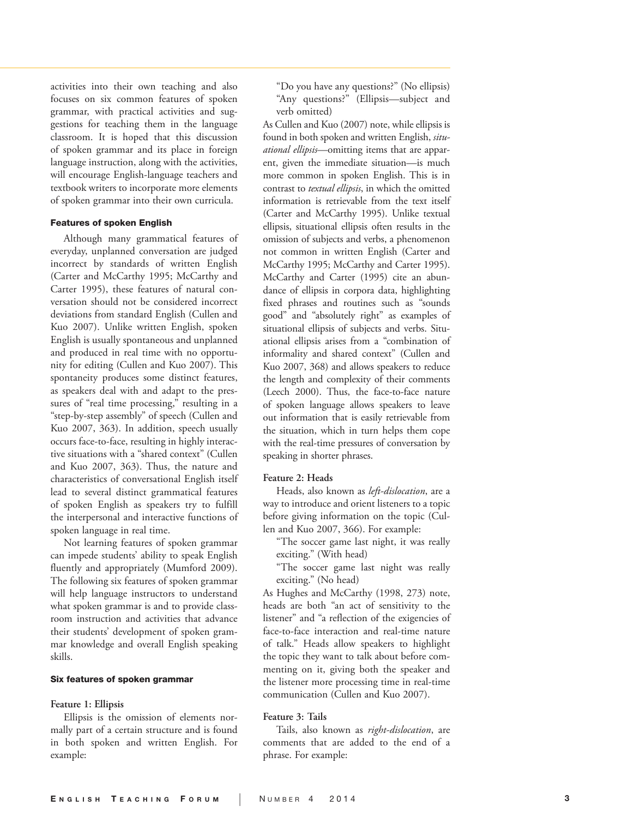activities into their own teaching and also focuses on six common features of spoken grammar, with practical activities and sug gestions for teaching them in the language classroom. It is hoped that this discussion of spoken grammar and its place in foreign language instruction, along with the activities, will encourage English-language teachers and textbook writers to incorporate more elements of spoken grammar into their own curricula.

#### Features of spoken English

Although many grammatical features of everyday, unplanned conversation are judged incorrect by standards of written English (Carter and McCarthy 1995; McCarthy and Carter 1995), these features of natural con versation should not be considered incorrect deviations from standard English (Cullen and Kuo 2007). Unlike written English, spoken English is usually spontaneous and unplanned and produced in real time with no opportu nity for editing (Cullen and Kuo 2007). This spontaneity produces some distinct features, as speakers deal with and adapt to the pres sures of "real time processing," resulting in a "step-by-step assembly" of speech (Cullen and Kuo 2007, 363). In addition, speech usually occurs face-to-face, resulting in highly interac tive situations with a "shared context" (Cullen and Kuo 2007, 363). Thus, the nature and characteristics of conversational English itself lead to several distinct grammatical features of spoken English as speakers try to fulfill the interpersonal and interactive functions of spoken language in real time.

Not learning features of spoken grammar can impede students' ability to speak English fluently and appropriately (Mumford 2009). The following six features of spoken grammar will help language instructors to understand what spoken grammar is and to provide class room instruction and activities that advance their students' development of spoken gram mar knowledge and overall English speaking skills.

#### Six features of spoken grammar

#### **Feature 1: Ellipsis**

Ellipsis is the omission of elements nor mally part of a certain structure and is found in both spoken and written English. For example:

"Do you have any questions?" (No ellipsis) "Any questions?" (Ellipsis—subject and verb omitted)

As Cullen and Kuo (2007) note, while ellipsis is found in both spoken and written English, *situ ational ellipsis*—omitting items that are appar ent, given the immediate situation—is much more common in spoken English. This is in contrast to *textual ellipsis*, in which the omitted information is retrievable from the text itself (Carter and McCarthy 1995). Unlike textual ellipsis, situational ellipsis often results in the omission of subjects and verbs, a phenomenon not common in written English (Carter and McCarthy 1995; McCarthy and Carter 1995). McCarthy and Carter (1995) cite an abun dance of ellipsis in corpora data, highlighting fixed phrases and routines such as "sounds good" and "absolutely right" as examples of situational ellipsis of subjects and verbs. Situ ational ellipsis arises from a "combination of informality and shared context" (Cullen and Kuo 2007, 368) and allows speakers to reduce the length and complexity of their comments (Leech 2000). Thus, the face-to-face nature of spoken language allows speakers to leave out information that is easily retrievable from the situation, which in turn helps them cope with the real-time pressures of conversation by speaking in shorter phrases.

#### **Feature 2: Heads**

Heads, also known as *left-dislocation*, are a way to introduce and orient listeners to a topic before giving information on the topic (Cul len and Kuo 2007, 366). For example:

"The soccer game last night, it was really exciting." (With head)

"The soccer game last night was really exciting." (No head)

As Hughes and McCarthy (1998, 273) note, heads are both "an act of sensitivity to the listener" and "a reflection of the exigencies of face-to-face interaction and real-time nature of talk." Heads allow speakers to highlight the topic they want to talk about before com menting on it, giving both the speaker and the listener more processing time in real-time communication (Cullen and Kuo 2007).

## **Feature 3: Tails**

Tails, also known as *right-dislocation*, are comments that are added to the end of a phrase. For example: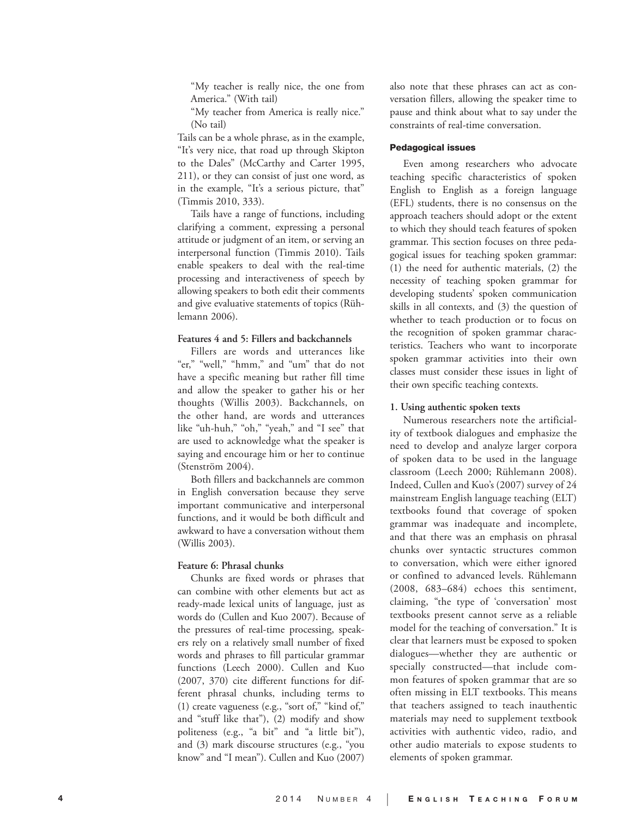"My teacher is really nice, the one from America." (With tail)

"My teacher from America is really nice." (No tail)

Tails can be a whole phrase, as in the example, "It's very nice, that road up through Skipton to the Dales" (McCarthy and Carter 1995, 211), or they can consist of just one word, as in the example, "It's a serious picture, that" (Timmis 2010, 333).

Tails have a range of functions, including clarifying a comment, expressing a personal attitude or judgment of an item, or serving an interpersonal function (Timmis 2010). Tails enable speakers to deal with the real-time processing and interactiveness of speech by allowing speakers to both edit their comments and give evaluative statements of topics (Rüh lemann 2006).

# **Features 4 and 5: Fillers and backchannels**

Fillers are words and utterances like "er," "well," "hmm," and "um" that do not have a specific meaning but rather fill time and allow the speaker to gather his or her thoughts (Willis 2003). Backchannels, on the other hand, are words and utterances like "uh-huh," "oh," "yeah," and "I see" that are used to acknowledge what the speaker is saying and encourage him or her to continue (Stenström 2004).

Both fillers and backchannels are common in English conversation because they serve important communicative and interpersonal functions, and it would be both difficult and awkward to have a conversation without them (Willis 2003).

## **Feature 6: Phrasal chunks**

Chunks are fixed words or phrases that can combine with other elements but act as ready-made lexical units of language, just as words do (Cullen and Kuo 2007). Because of the pressures of real-time processing, speak ers rely on a relatively small number of fixed words and phrases to fill particular grammar functions (Leech 2000). Cullen and Kuo (2007, 370) cite different functions for different phrasal chunks, including terms to (1) create vagueness (e.g., "sort of," "kind of," and "stuff like that"), (2) modify and show politeness (e.g., "a bit" and "a little bit"), and (3) mark discourse structures (e.g., "you know" and "I mean"). Cullen and Kuo (2007)

also note that these phrases can act as con versation fillers, allowing the speaker time to pause and think about what to say under the constraints of real-time conversation.

## Pedagogical issues

Even among researchers who advocate teaching specific characteristics of spoken English to English as a foreign language (EFL) students, there is no consensus on the approach teachers should adopt or the extent to which they should teach features of spoken grammar. This section focuses on three peda gogical issues for teaching spoken grammar: (1) the need for authentic materials, (2) the necessity of teaching spoken grammar for developing students' spoken communication skills in all contexts, and (3) the question of whether to teach production or to focus on the recognition of spoken grammar charac teristics. Teachers who want to incorporate spoken grammar activities into their own classes must consider these issues in light of their own specific teaching contexts.

#### **1. Using authentic spoken texts**

Numerous researchers note the artificial ity of textbook dialogues and emphasize the need to develop and analyze larger corpora of spoken data to be used in the language classroom (Leech 2000; Rühlemann 2008). Indeed, Cullen and Kuo's (2007) survey of 24 mainstream English language teaching (ELT) textbooks found that coverage of spoken grammar was inadequate and incomplete, and that there was an emphasis on phrasal chunks over syntactic structures common to conversation, which were either ignored or confined to advanced levels. Rühlemann (2008, 683–684) echoes this sentiment, claiming, "the type of 'conversation' most textbooks present cannot serve as a reliable model for the teaching of conversation." It is clear that learners must be exposed to spoken dialogues—whether they are authentic or specially constructed—that include com mon features of spoken grammar that are so often missing in ELT textbooks. This means that teachers assigned to teach inauthentic materials may need to supplement textbook activities with authentic video, radio, and other audio materials to expose students to elements of spoken grammar.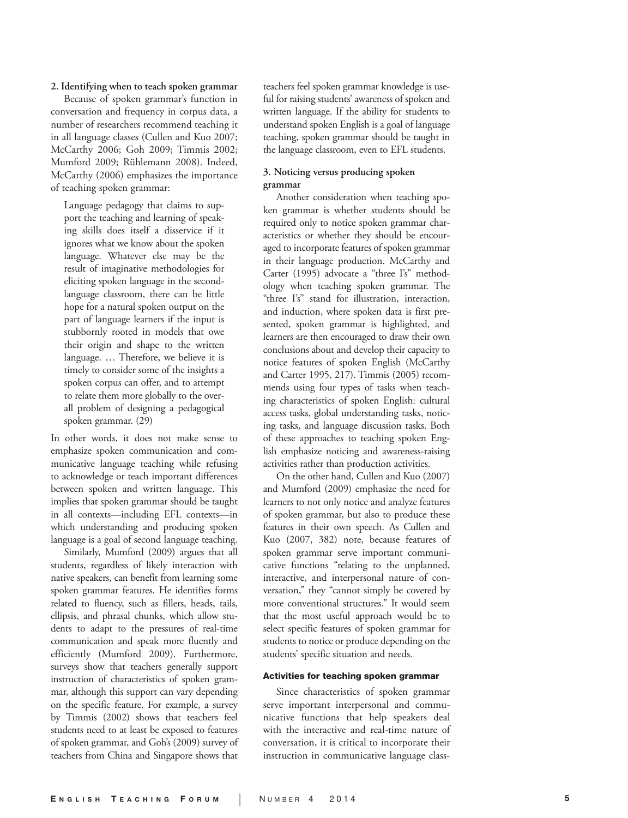#### **2. Identifying when to teach spoken grammar**

Because of spoken grammar's function in conversation and frequency in corpus data, a number of researchers recommend teaching it in all language classes (Cullen and Kuo 2007; McCarthy 2006; Goh 2009; Timmis 2002; Mumford 2009; Rühlemann 2008). Indeed, McCarthy (2006) emphasizes the importance of teaching spoken grammar:

Language pedagogy that claims to sup port the teaching and learning of speaking skills does itself a disservice if it ignores what we know about the spoken language. Whatever else may be the result of imaginative methodologies for eliciting spoken language in the secondlanguage classroom, there can be little hope for a natural spoken output on the part of language learners if the input is stubbornly rooted in models that owe their origin and shape to the written language. … Therefore, we believe it is timely to consider some of the insights a spoken corpus can offer, and to attempt to relate them more globally to the over all problem of designing a pedagogical spoken grammar. (29)

In other words, it does not make sense to emphasize spoken communication and com municative language teaching while refusing to acknowledge or teach important differences between spoken and written language. This implies that spoken grammar should be taught in all contexts—including EFL contexts—in which understanding and producing spoken language is a goal of second language teaching.

Similarly, Mumford (2009) argues that all students, regardless of likely interaction with native speakers, can benefit from learning some spoken grammar features. He identifies forms related to fluency, such as fillers, heads, tails, ellipsis, and phrasal chunks, which allow stu dents to adapt to the pressures of real-time communication and speak more fluently and efficiently (Mumford 2009). Furthermore, surveys show that teachers generally support instruction of characteristics of spoken gram mar, although this support can vary depending on the specific feature. For example, a survey by Timmis (2002) shows that teachers feel students need to at least be exposed to features of spoken grammar, and Goh's (2009) survey of teachers from China and Singapore shows that

teachers feel spoken grammar knowledge is use ful for raising students' awareness of spoken and written language. If the ability for students to understand spoken English is a goal of language teaching, spoken grammar should be taught in the language classroom, even to EFL students.

# **3. Noticing versus producing spoken grammar**

Another consideration when teaching spo ken grammar is whether students should be required only to notice spoken grammar char acteristics or whether they should be encour aged to incorporate features of spoken grammar in their language production. McCarthy and Carter (1995) advocate a "three I's" method ology when teaching spoken grammar. The "three I's" stand for illustration, interaction, and induction, where spoken data is first pre sented, spoken grammar is highlighted, and learners are then encouraged to draw their own conclusions about and develop their capacity to notice features of spoken English (McCarthy and Carter 1995, 217). Timmis (2005) recom mends using four types of tasks when teach ing characteristics of spoken English: cultural access tasks, global understanding tasks, notic ing tasks, and language discussion tasks. Both of these approaches to teaching spoken Eng lish emphasize noticing and awareness-raising activities rather than production activities.

On the other hand, Cullen and Kuo (2007) and Mumford (2009) emphasize the need for learners to not only notice and analyze features of spoken grammar, but also to produce these features in their own speech. As Cullen and Kuo (2007, 382) note, because features of spoken grammar serve important communi cative functions "relating to the unplanned, interactive, and interpersonal nature of con versation," they "cannot simply be covered by more conventional structures." It would seem that the most useful approach would be to select specific features of spoken grammar for students to notice or produce depending on the students' specific situation and needs.

## Activities for teaching spoken grammar

Since characteristics of spoken grammar serve important interpersonal and commu nicative functions that help speakers deal with the interactive and real-time nature of conversation, it is critical to incorporate their instruction in communicative language class -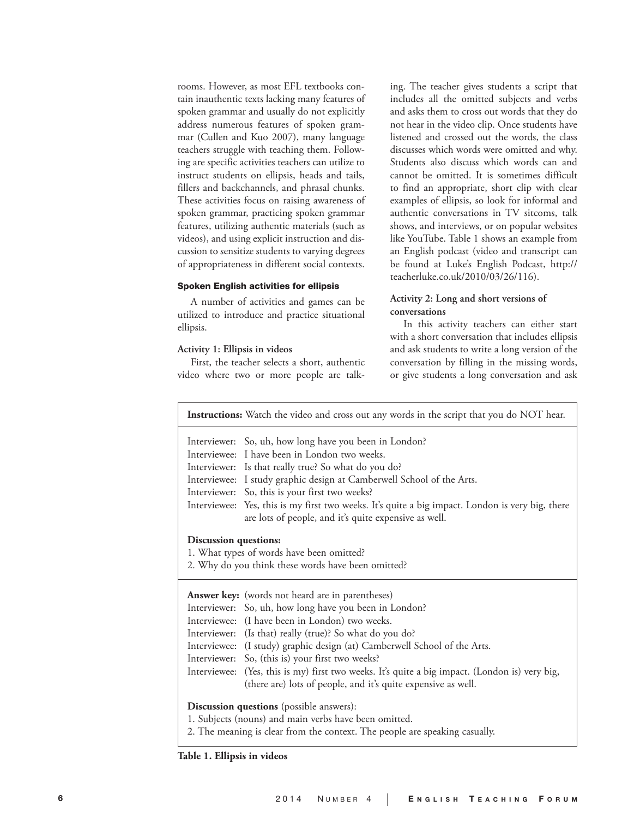rooms. However, as most EFL textbooks contain inauthentic texts lacking many features of spoken grammar and usually do not explicitly address numerous features of spoken grammar (Cullen and Kuo 2007), many language teachers struggle with teaching them. Following are specific activities teachers can utilize to instruct students on ellipsis, heads and tails, fillers and backchannels, and phrasal chunks. These activities focus on raising awareness of spoken grammar, practicing spoken grammar features, utilizing authentic materials (such as videos), and using explicit instruction and discussion to sensitize students to varying degrees of appropriateness in different social contexts.

#### Spoken English activities for ellipsis

A number of activities and games can be utilized to introduce and practice situational ellipsis.

#### **Activity 1: Ellipsis in videos**

First, the teacher selects a short, authentic video where two or more people are talking. The teacher gives students a script that includes all the omitted subjects and verbs and asks them to cross out words that they do not hear in the video clip. Once students have listened and crossed out the words, the class discusses which words were omitted and why. Students also discuss which words can and cannot be omitted. It is sometimes difficult to find an appropriate, short clip with clear examples of ellipsis, so look for informal and authentic conversations in TV sitcoms, talk shows, and interviews, or on popular websites like YouTube. Table 1 shows an example from an English podcast (video and transcript can be found at Luke's English Podcast, http:// teacherluke.co.uk/2010/03/26/116).

# **Activity 2: Long and short versions of conversations**

In this activity teachers can either start with a short conversation that includes ellipsis and ask students to write a long version of the conversation by filling in the missing words, or give students a long conversation and ask

|                                                                                                                          | <b>Instructions:</b> Watch the video and cross out any words in the script that you do NOT hear.                                                                                                                                                                                                                                                                                                                                                                                                                                     |  |  |  |  |
|--------------------------------------------------------------------------------------------------------------------------|--------------------------------------------------------------------------------------------------------------------------------------------------------------------------------------------------------------------------------------------------------------------------------------------------------------------------------------------------------------------------------------------------------------------------------------------------------------------------------------------------------------------------------------|--|--|--|--|
|                                                                                                                          | Interviewer: So, uh, how long have you been in London?<br>Interviewee: I have been in London two weeks.<br>Interviewer: Is that really true? So what do you do?<br>Interviewee: I study graphic design at Camberwell School of the Arts.<br>Interviewer: So, this is your first two weeks?<br>Interviewee: Yes, this is my first two weeks. It's quite a big impact. London is very big, there<br>are lots of people, and it's quite expensive as well.                                                                              |  |  |  |  |
| Discussion questions:<br>1. What types of words have been omitted?<br>2. Why do you think these words have been omitted? |                                                                                                                                                                                                                                                                                                                                                                                                                                                                                                                                      |  |  |  |  |
|                                                                                                                          | <b>Answer key:</b> (words not heard are in parentheses)<br>Interviewer: So, uh, how long have you been in London?<br>Interviewee: (I have been in London) two weeks.<br>Interviewer: (Is that) really (true)? So what do you do?<br>Interviewee: (I study) graphic design (at) Camberwell School of the Arts.<br>Interviewer: So, (this is) your first two weeks?<br>Interviewee: (Yes, this is my) first two weeks. It's quite a big impact. (London is) very big,<br>(there are) lots of people, and it's quite expensive as well. |  |  |  |  |
|                                                                                                                          | Discussion questions (possible answers):<br>1. Subjects (nouns) and main verbs have been omitted.                                                                                                                                                                                                                                                                                                                                                                                                                                    |  |  |  |  |

2. The meaning is clear from the context. The people are speaking casually.

**Table 1. Ellipsis in videos**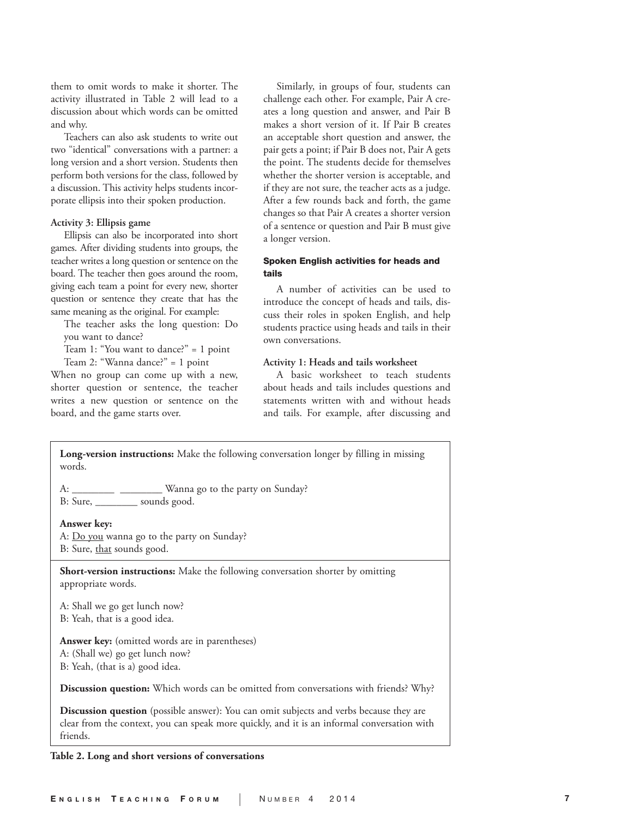them to omit words to make it shorter. The activity illustrated in Table 2 will lead to a discussion about which words can be omitted and why.

Teachers can also ask students to write out two "identical" conversations with a partner: a long version and a short version. Students then perform both versions for the class, followed by a discussion. This activity helps students incorporate ellipsis into their spoken production.

#### **Activity 3: Ellipsis game**

Ellipsis can also be incorporated into short games. After dividing students into groups, the teacher writes a long question or sentence on the board. The teacher then goes around the room, giving each team a point for every new, shorter question or sentence they create that has the same meaning as the original. For example:

The teacher asks the long question: Do you want to dance?

Team 1: "You want to dance?" = 1 point Team 2: "Wanna dance?" = 1 point

When no group can come up with a new, shorter question or sentence, the teacher writes a new question or sentence on the board, and the game starts over.

Similarly, in groups of four, students can challenge each other. For example, Pair A creates a long question and answer, and Pair B makes a short version of it. If Pair B creates an acceptable short question and answer, the pair gets a point; if Pair B does not, Pair A gets the point. The students decide for themselves whether the shorter version is acceptable, and if they are not sure, the teacher acts as a judge. After a few rounds back and forth, the game changes so that Pair A creates a shorter version of a sentence or question and Pair B must give a longer version.

# Spoken English activities for heads and tails

A number of activities can be used to introduce the concept of heads and tails, discuss their roles in spoken English, and help students practice using heads and tails in their own conversations.

## **Activity 1: Heads and tails worksheet**

A basic worksheet to teach students about heads and tails includes questions and statements written with and without heads and tails. For example, after discussing and

**Long-version instructions:** Make the following conversation longer by filling in missing words. A: \_\_\_\_\_\_\_\_\_\_\_ \_\_\_\_\_\_\_\_\_\_ Wanna go to the party on Sunday?

B: Sure, sounds good.

#### **Answer key:**

A: <u>Do you</u> wanna go to the party on Sunday? B: Sure, that sounds good.

**Short-version instructions:** Make the following conversation shorter by omitting appropriate words.

A: Shall we go get lunch now? B: Yeah, that is a good idea.

**Answer key:** (omitted words are in parentheses) A: (Shall we) go get lunch now? B: Yeah, (that is a) good idea.

**Discussion question:** Which words can be omitted from conversations with friends? Why?

**Discussion question** (possible answer): You can omit subjects and verbs because they are clear from the context, you can speak more quickly, and it is an informal conversation with friends.

#### **Table 2. Long and short versions of conversations**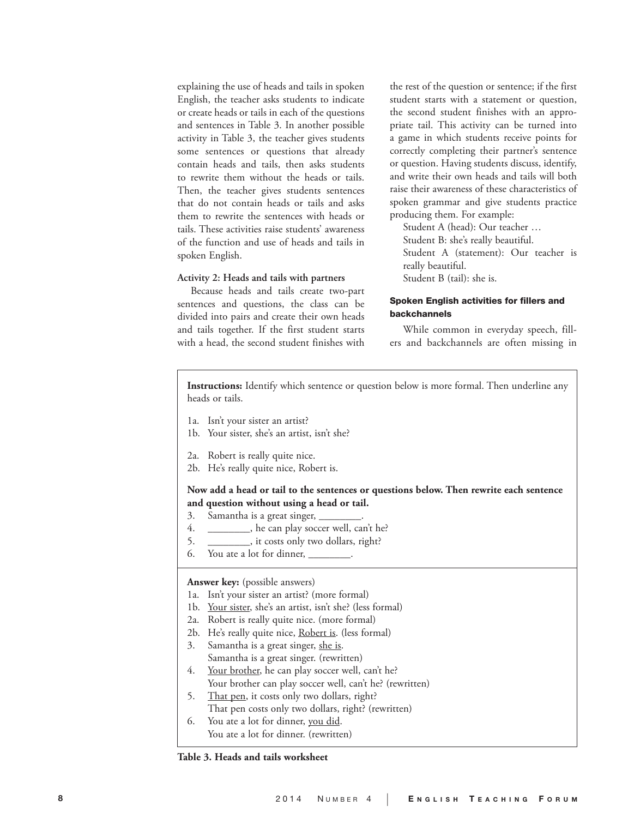explaining the use of heads and tails in spoken English, the teacher asks students to indicate or create heads or tails in each of the questions and sentences in Table 3. In another possible activity in Table 3, the teacher gives students some sentences or questions that already contain heads and tails, then asks students to rewrite them without the heads or tails. Then, the teacher gives students sentences that do not contain heads or tails and asks them to rewrite the sentences with heads or tails. These activities raise students' awareness of the function and use of heads and tails in spoken English.

## **Activity 2: Heads and tails with partners**

Because heads and tails create two-part sentences and questions, the class can be divided into pairs and create their own heads and tails together. If the first student starts with a head, the second student finishes with

the rest of the question or sentence; if the first student starts with a statement or question, the second student finishes with an appropriate tail. This activity can be turned into a game in which students receive points for correctly completing their partner's sentence or question. Having students discuss, identify, and write their own heads and tails will both raise their awareness of these characteristics of spoken grammar and give students practice producing them. For example:

Student A (head): Our teacher … Student B: she's really beautiful. Student A (statement): Our teacher is really beautiful. Student B (tail): she is.

# Spoken English activities for fillers and backchannels

While common in everyday speech, fillers and backchannels are often missing in

**Instructions:** Identify which sentence or question below is more formal. Then underline any heads or tails.

- 1a. Isn't your sister an artist?
- 1b. Your sister, she's an artist, isn't she?
- 2a. Robert is really quite nice.
- 2b. He's really quite nice, Robert is.

# **Now add a head or tail to the sentences or questions below. Then rewrite each sentence and question without using a head or tail.**

- 3. Samantha is a great singer, \_
- 4. \_\_\_\_\_\_\_\_, he can play soccer well, can't he?
- 5. \_\_\_\_\_\_\_\_, it costs only two dollars, right?
- 6. You ate a lot for dinner,  $\overline{\phantom{a}}$

#### **Answer key:** (possible answers)

- 1a. Isn't your sister an artist? (more formal)
- 1b. Your sister, she's an artist, isn't she? (less formal)
- 2a. Robert is really quite nice. (more formal)
- 2b. He's really quite nice, Robert is. (less formal)
- 3. Samantha is a great singer, she is. Samantha is a great singer. (rewritten)
- 4. Your brother, he can play soccer well, can't he?
	- Your brother can play soccer well, can't he? (rewritten)
- 5. That pen, it costs only two dollars, right? That pen costs only two dollars, right? (rewritten)
- 6. You ate a lot for dinner, you did. You ate a lot for dinner. (rewritten)

**Table 3. Heads and tails worksheet**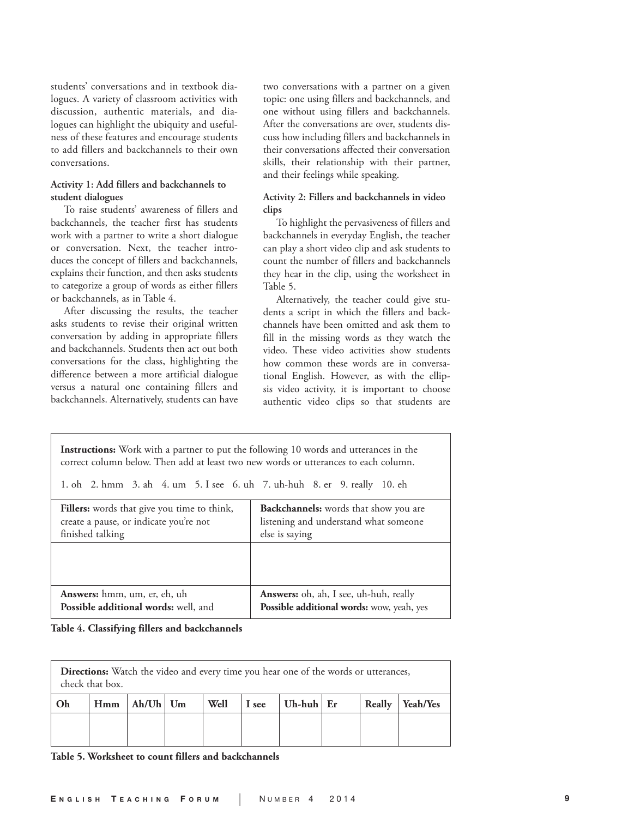students' conversations and in textbook dialogues. A variety of classroom activities with discussion, authentic materials, and dialogues can highlight the ubiquity and usefulness of these features and encourage students to add fillers and backchannels to their own conversations.

# **Activity 1: Add fillers and backchannels to student dialogues**

To raise students' awareness of fillers and backchannels, the teacher first has students work with a partner to write a short dialogue or conversation. Next, the teacher introduces the concept of fillers and backchannels, explains their function, and then asks students to categorize a group of words as either fillers or backchannels, as in Table 4.

After discussing the results, the teacher asks students to revise their original written conversation by adding in appropriate fillers and backchannels. Students then act out both conversations for the class, highlighting the difference between a more artificial dialogue versus a natural one containing fillers and backchannels. Alternatively, students can have two conversations with a partner on a given topic: one using fillers and backchannels, and one without using fillers and backchannels. After the conversations are over, students discuss how including fillers and backchannels in their conversations affected their conversation skills, their relationship with their partner, and their feelings while speaking.

# **Activity 2: Fillers and backchannels in video clips**

To highlight the pervasiveness of fillers and backchannels in everyday English, the teacher can play a short video clip and ask students to count the number of fillers and backchannels they hear in the clip, using the worksheet in Table 5.

Alternatively, the teacher could give students a script in which the fillers and backchannels have been omitted and ask them to fill in the missing words as they watch the video. These video activities show students how common these words are in conversational English. However, as with the ellipsis video activity, it is important to choose authentic video clips so that students are

**Instructions:** Work with a partner to put the following 10 words and utterances in the correct column below. Then add at least two new words or utterances to each column.

1. oh 2. hmm 3. ah 4. um 5. I see 6. uh 7. uh-huh 8. er 9. really 10. eh

| Fillers: words that give you time to think, | Backchannels: words that show you are     |
|---------------------------------------------|-------------------------------------------|
| create a pause, or indicate you're not      | listening and understand what someone     |
| finished talking                            | else is saying                            |
|                                             |                                           |
| Answers: hmm, um, er, eh, uh                | Answers: oh, ah, I see, uh-huh, really    |
| Possible additional words: well, and        | Possible additional words: wow, yeah, yes |

**Table 4. Classifying fillers and backchannels**

| <b>Directions:</b> Watch the video and every time you hear one of the words or utterances,<br>check that box. |  |                    |  |      |       |              |        |          |
|---------------------------------------------------------------------------------------------------------------|--|--------------------|--|------|-------|--------------|--------|----------|
| Oh                                                                                                            |  | $Hmm$   Ah/Uh   Um |  | Well | I see | Uh-huh $E$ r | Really | Yeah/Yes |
|                                                                                                               |  |                    |  |      |       |              |        |          |

**Table 5. Worksheet to count fillers and backchannels**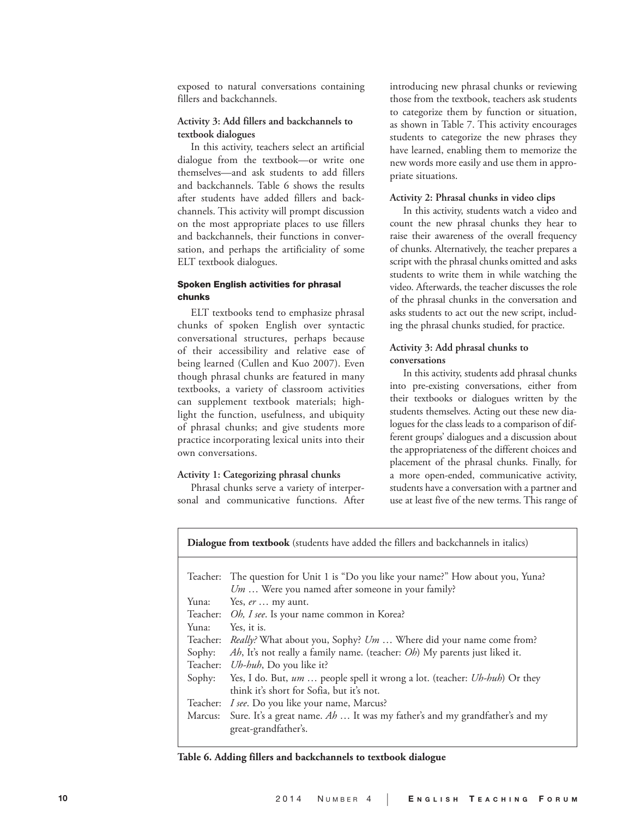exposed to natural conversations containing fillers and backchannels.

# **Activity 3: Add fillers and backchannels to textbook dialogues**

In this activity, teachers select an artificial dialogue from the textbook—or write one themselves—and ask students to add fillers and backchannels. Table 6 shows the results after students have added fillers and backchannels. This activity will prompt discussion on the most appropriate places to use fillers and backchannels, their functions in conversation, and perhaps the artificiality of some ELT textbook dialogues.

## Spoken English activities for phrasal chunks

ELT textbooks tend to emphasize phrasal chunks of spoken English over syntactic conversational structures, perhaps because of their accessibility and relative ease of being learned (Cullen and Kuo 2007). Even though phrasal chunks are featured in many textbooks, a variety of classroom activities can supplement textbook materials; highlight the function, usefulness, and ubiquity of phrasal chunks; and give students more practice incorporating lexical units into their own conversations.

### **Activity 1: Categorizing phrasal chunks**

Phrasal chunks serve a variety of interpersonal and communicative functions. After

introducing new phrasal chunks or reviewing those from the textbook, teachers ask students to categorize them by function or situation, as shown in Table 7. This activity encourages students to categorize the new phrases they have learned, enabling them to memorize the new words more easily and use them in appropriate situations.

#### **Activity 2: Phrasal chunks in video clips**

In this activity, students watch a video and count the new phrasal chunks they hear to raise their awareness of the overall frequency of chunks. Alternatively, the teacher prepares a script with the phrasal chunks omitted and asks students to write them in while watching the video. Afterwards, the teacher discusses the role of the phrasal chunks in the conversation and asks students to act out the new script, including the phrasal chunks studied, for practice.

## **Activity 3: Add phrasal chunks to conversations**

In this activity, students add phrasal chunks into pre-existing conversations, either from their textbooks or dialogues written by the students themselves. Acting out these new dialogues for the class leads to a comparison of different groups' dialogues and a discussion about the appropriateness of the different choices and placement of the phrasal chunks. Finally, for a more open-ended, communicative activity, students have a conversation with a partner and use at least five of the new terms. This range of

**Dialogue from textbook** (students have added the fillers and backchannels in italics)

|          | Teacher: The question for Unit 1 is "Do you like your name?" How about you, Yuna?<br>$Um$ Were you named after someone in your family? |
|----------|----------------------------------------------------------------------------------------------------------------------------------------|
| Yuna:    | Yes, er  my aunt.                                                                                                                      |
|          | Teacher: Oh, I see. Is your name common in Korea?                                                                                      |
| Yuna:    | Yes, it is.                                                                                                                            |
| Teacher: | <i>Really?</i> What about you, Sophy? Um  Where did your name come from?                                                               |
| Sophy:   | Ah, It's not really a family name. (teacher: Oh) My parents just liked it.                                                             |
|          | Teacher: <i>Uh-huh</i> , Do you like it?                                                                                               |
|          | Sophy: Yes, I do. But, um  people spell it wrong a lot. (teacher: <i>Uh-huh</i> ) Or they                                              |
|          | think it's short for Sofia, but it's not.                                                                                              |
| Teacher: | I see. Do you like your name, Marcus?                                                                                                  |
| Marcus:  | Sure. It's a great name. $Ab \dots$ It was my father's and my grandfather's and my                                                     |
|          | great-grandfather's.                                                                                                                   |
|          |                                                                                                                                        |

#### **Table 6. Adding fillers and backchannels to textbook dialogue**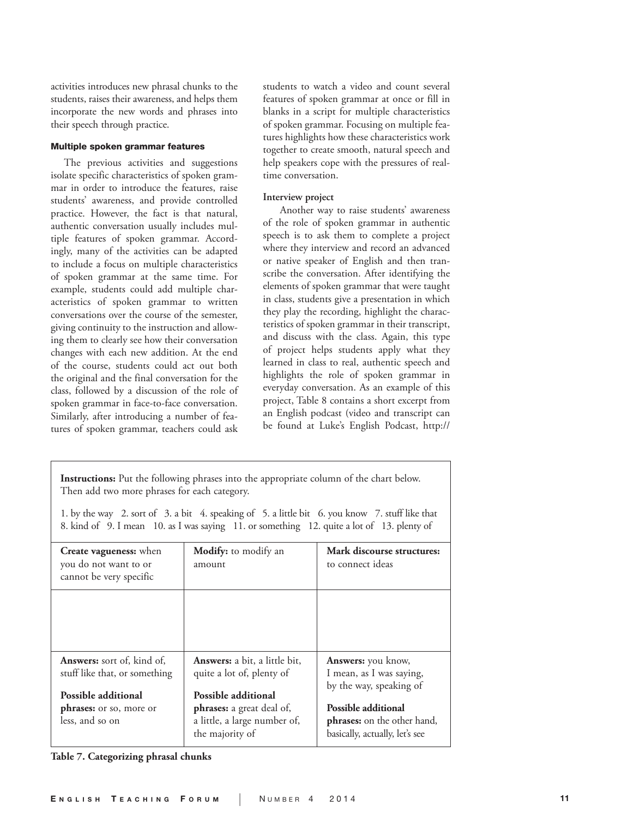activities introduces new phrasal chunks to the students, raises their awareness, and helps them incorporate the new words and phrases into their speech through practice.

#### Multiple spoken grammar features

The previous activities and suggestions isolate specific characteristics of spoken grammar in order to introduce the features, raise students' awareness, and provide controlled practice. However, the fact is that natural, authentic conversation usually includes multiple features of spoken grammar. Accordingly, many of the activities can be adapted to include a focus on multiple characteristics of spoken grammar at the same time. For example, students could add multiple characteristics of spoken grammar to written conversations over the course of the semester, giving continuity to the instruction and allowing them to clearly see how their conversation changes with each new addition. At the end of the course, students could act out both the original and the final conversation for the class, followed by a discussion of the role of spoken grammar in face-to-face conversation. Similarly, after introducing a number of features of spoken grammar, teachers could ask

students to watch a video and count several features of spoken grammar at once or fill in blanks in a script for multiple characteristics of spoken grammar. Focusing on multiple features highlights how these characteristics work together to create smooth, natural speech and help speakers cope with the pressures of realtime conversation.

## **Interview project**

 Another way to raise students' awareness of the role of spoken grammar in authentic speech is to ask them to complete a project where they interview and record an advanced or native speaker of English and then transcribe the conversation. After identifying the elements of spoken grammar that were taught in class, students give a presentation in which they play the recording, highlight the characteristics of spoken grammar in their transcript, and discuss with the class. Again, this type of project helps students apply what they learned in class to real, authentic speech and highlights the role of spoken grammar in everyday conversation. As an example of this project, Table 8 contains a short excerpt from an English podcast (video and transcript can be found at Luke's English Podcast, http://

**Instructions:** Put the following phrases into the appropriate column of the chart below. Then add two more phrases for each category.

1. by the way 2. sort of 3. a bit 4. speaking of 5. a little bit 6. you know 7. stuff like that 8. kind of 9. I mean 10. as I was saying 11. or something 12. quite a lot of 13. plenty of

| <b>Create vagueness:</b> when<br>you do not want to or<br>cannot be very specific | <b>Modify:</b> to modify an<br>amount                                                                      | Mark discourse structures:<br>to connect ideas                                              |
|-----------------------------------------------------------------------------------|------------------------------------------------------------------------------------------------------------|---------------------------------------------------------------------------------------------|
|                                                                                   |                                                                                                            |                                                                                             |
| <b>Answers:</b> sort of, kind of,<br>stuff like that, or something                | <b>Answers:</b> a bit, a little bit,<br>quite a lot of, plenty of                                          | <b>Answers:</b> you know,<br>I mean, as I was saying,<br>by the way, speaking of            |
| Possible additional<br><b>phrases:</b> or so, more or<br>less, and so on          | Possible additional<br><b>phrases:</b> a great deal of,<br>a little, a large number of,<br>the majority of | Possible additional<br><b>phrases:</b> on the other hand,<br>basically, actually, let's see |

**Table 7. Categorizing phrasal chunks**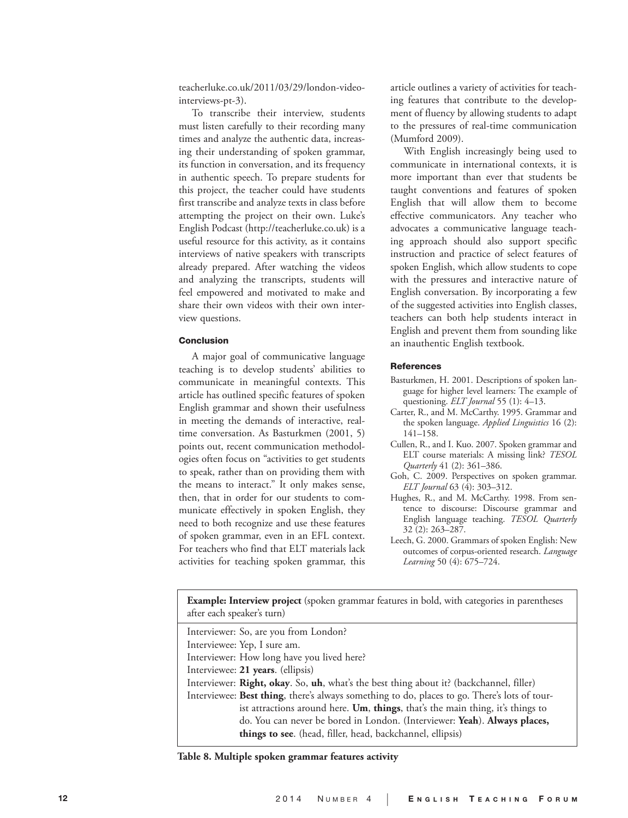teacherluke.co.uk/2011/03/29/london-videointerviews-pt-3).

To transcribe their interview, students must listen carefully to their recording many times and analyze the authentic data, increasing their understanding of spoken grammar, its function in conversation, and its frequency in authentic speech. To prepare students for this project, the teacher could have students first transcribe and analyze texts in class before attempting the project on their own. Luke's English Podcast (http://teacherluke.co.uk) is a useful resource for this activity, as it contains interviews of native speakers with transcripts already prepared. After watching the videos and analyzing the transcripts, students will feel empowered and motivated to make and share their own videos with their own interview questions.

#### Conclusion

A major goal of communicative language teaching is to develop students' abilities to communicate in meaningful contexts. This article has outlined specific features of spoken English grammar and shown their usefulness in meeting the demands of interactive, realtime conversation. As Basturkmen (2001, 5) points out, recent communication methodologies often focus on "activities to get students to speak, rather than on providing them with the means to interact." It only makes sense, then, that in order for our students to communicate effectively in spoken English, they need to both recognize and use these features of spoken grammar, even in an EFL context. For teachers who find that ELT materials lack activities for teaching spoken grammar, this article outlines a variety of activities for teaching features that contribute to the development of fluency by allowing students to adapt to the pressures of real-time communication (Mumford 2009).

With English increasingly being used to communicate in international contexts, it is more important than ever that students be taught conventions and features of spoken English that will allow them to become effective communicators. Any teacher who advocates a communicative language teaching approach should also support specific instruction and practice of select features of spoken English, which allow students to cope with the pressures and interactive nature of English conversation. By incorporating a few of the suggested activities into English classes, teachers can both help students interact in English and prevent them from sounding like an inauthentic English textbook.

## **References**

- Basturkmen, H. 2001. Descriptions of spoken language for higher level learners: The example of questioning. *ELT Journal* 55 (1): 4–13.
- Carter, R., and M. McCarthy. 1995. Grammar and the spoken language. *Applied Linguistics* 16 (2): 141–158.
- Cullen, R., and I. Kuo. 2007. Spoken grammar and ELT course materials: A missing link? *TESOL Quarterly* 41 (2): 361–386.
- Goh, C. 2009. Perspectives on spoken grammar. *ELT Journal* 63 (4): 303–312.
- Hughes, R., and M. McCarthy. 1998. From sentence to discourse: Discourse grammar and English language teaching. *TESOL Quarterly* 32 (2): 263–287.
- Leech, G. 2000. Grammars of spoken English: New outcomes of corpus-oriented research. *Language Learning* 50 (4): 675–724.

**Example: Interview project** (spoken grammar features in bold, with categories in parentheses after each speaker's turn)

Interviewer: So, are you from London? Interviewee: Yep, I sure am. Interviewer: How long have you lived here? Interviewee: **21 years**. (ellipsis) Interviewer: **Right, okay**. So, **uh**, what's the best thing about it? (backchannel, filler) Interviewee: **Best thing**, there's always something to do, places to go. There's lots of tourist attractions around here. **Um**, **things**, that's the main thing, it's things to do. You can never be bored in London. (Interviewer: **Yeah**). **Always places, things to see**. (head, filler, head, backchannel, ellipsis)

**Table 8. Multiple spoken grammar features activity**